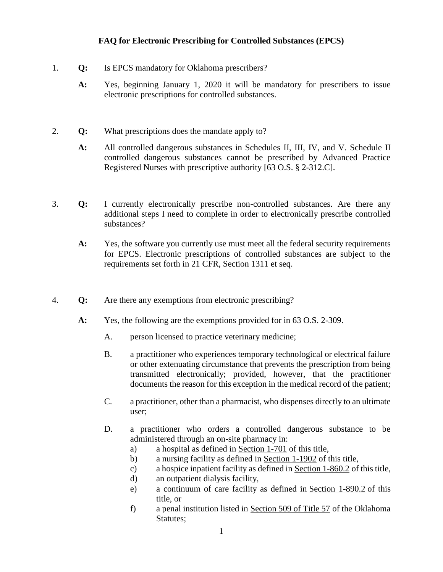## **FAQ for Electronic Prescribing for Controlled Substances (EPCS)**

- 1. **Q:** Is EPCS mandatory for Oklahoma prescribers?
	- **A:** Yes, beginning January 1, 2020 it will be mandatory for prescribers to issue electronic prescriptions for controlled substances.
- 2. **Q:** What prescriptions does the mandate apply to?
	- **A:** All controlled dangerous substances in Schedules II, III, IV, and V. Schedule II controlled dangerous substances cannot be prescribed by Advanced Practice Registered Nurses with prescriptive authority [63 O.S. § 2-312.C].
- 3. **Q:** I currently electronically prescribe non-controlled substances. Are there any additional steps I need to complete in order to electronically prescribe controlled substances?
	- **A:** Yes, the software you currently use must meet all the federal security requirements for EPCS. Electronic prescriptions of controlled substances are subject to the requirements set forth in 21 CFR, Section 1311 et seq.
- 4. **Q:** Are there any exemptions from electronic prescribing?
	- **A:** Yes, the following are the exemptions provided for in 63 O.S. 2-309.
		- A. person licensed to practice veterinary medicine;
		- B. a practitioner who experiences temporary technological or electrical failure or other extenuating circumstance that prevents the prescription from being transmitted electronically; provided, however, that the practitioner documents the reason for this exception in the medical record of the patient;
		- C. a practitioner, other than a pharmacist, who dispenses directly to an ultimate user;
		- D. a practitioner who orders a controlled dangerous substance to be administered through an on-site pharmacy in:
			- a) a hospital as defined in [Section 1-701](http://www.oscn.net/applications/oscn/DeliverDocument.asp?citeid=98124) of this title,
			- b) a nursing facility as defined in [Section 1-1902](http://www.oscn.net/applications/oscn/DeliverDocument.asp?citeid=439876) of this title,
			- c) a hospice inpatient facility as defined in [Section 1-860.2](http://www.oscn.net/applications/oscn/DeliverDocument.asp?citeid=437013) of this title,
			- d) an outpatient dialysis facility,
			- e) a continuum of care facility as defined in [Section 1-890.2](http://www.oscn.net/applications/oscn/DeliverDocument.asp?citeid=98329) of this title, or
			- f) a penal institution listed in [Section 509 of Title 57](http://www.oscn.net/applications/oscn/DeliverDocument.asp?citeid=83910) of the Oklahoma Statutes;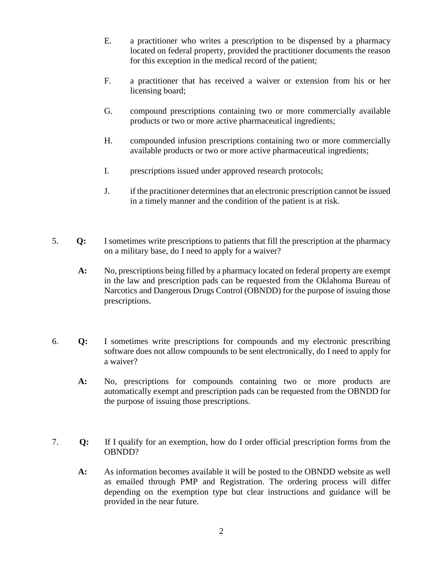- E. a practitioner who writes a prescription to be dispensed by a pharmacy located on federal property, provided the practitioner documents the reason for this exception in the medical record of the patient;
- F. a practitioner that has received a waiver or extension from his or her licensing board;
- G. compound prescriptions containing two or more commercially available products or two or more active pharmaceutical ingredients;
- H. compounded infusion prescriptions containing two or more commercially available products or two or more active pharmaceutical ingredients;
- I. prescriptions issued under approved research protocols;
- J. if the practitioner determines that an electronic prescription cannot be issued in a timely manner and the condition of the patient is at risk.
- 5. **Q:** I sometimes write prescriptions to patients that fill the prescription at the pharmacy on a military base, do I need to apply for a waiver?
	- **A:** No, prescriptions being filled by a pharmacy located on federal property are exempt in the law and prescription pads can be requested from the Oklahoma Bureau of Narcotics and Dangerous Drugs Control (OBNDD) for the purpose of issuing those prescriptions.
- 6. **Q:** I sometimes write prescriptions for compounds and my electronic prescribing software does not allow compounds to be sent electronically, do I need to apply for a waiver?
	- **A:** No, prescriptions for compounds containing two or more products are automatically exempt and prescription pads can be requested from the OBNDD for the purpose of issuing those prescriptions.
- 7. **Q:** If I qualify for an exemption, how do I order official prescription forms from the OBNDD?
	- **A:** As information becomes available it will be posted to the OBNDD website as well as emailed through PMP and Registration. The ordering process will differ depending on the exemption type but clear instructions and guidance will be provided in the near future.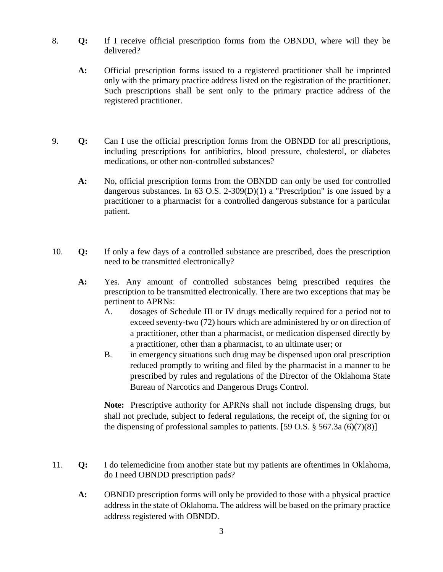- 8. **Q:** If I receive official prescription forms from the OBNDD, where will they be delivered?
	- **A:** Official prescription forms issued to a registered practitioner shall be imprinted only with the primary practice address listed on the registration of the practitioner. Such prescriptions shall be sent only to the primary practice address of the registered practitioner.
- 9. **Q:** Can I use the official prescription forms from the OBNDD for all prescriptions, including prescriptions for antibiotics, blood pressure, cholesterol, or diabetes medications, or other non-controlled substances?
	- **A:** No, official prescription forms from the OBNDD can only be used for controlled dangerous substances. In 63 O.S. 2-309(D)(1) a "Prescription" is one issued by a practitioner to a pharmacist for a controlled dangerous substance for a particular patient.
- 10. **Q:** If only a few days of a controlled substance are prescribed, does the prescription need to be transmitted electronically?
	- **A:** Yes. Any amount of controlled substances being prescribed requires the prescription to be transmitted electronically. There are two exceptions that may be pertinent to APRNs:
		- A. dosages of Schedule III or IV drugs medically required for a period not to exceed seventy-two (72) hours which are administered by or on direction of a practitioner, other than a pharmacist, or medication dispensed directly by a practitioner, other than a pharmacist, to an ultimate user; or
		- B. in emergency situations such drug may be dispensed upon oral prescription reduced promptly to writing and filed by the pharmacist in a manner to be prescribed by rules and regulations of the Director of the Oklahoma State Bureau of Narcotics and Dangerous Drugs Control.

**Note:** Prescriptive authority for APRNs shall not include dispensing drugs, but shall not preclude, subject to federal regulations, the receipt of, the signing for or the dispensing of professional samples to patients. [59 O.S.  $\S$  567.3a (6)(7)(8)]

- 11. **Q:** I do telemedicine from another state but my patients are oftentimes in Oklahoma, do I need OBNDD prescription pads?
	- **A:** OBNDD prescription forms will only be provided to those with a physical practice address in the state of Oklahoma. The address will be based on the primary practice address registered with OBNDD.